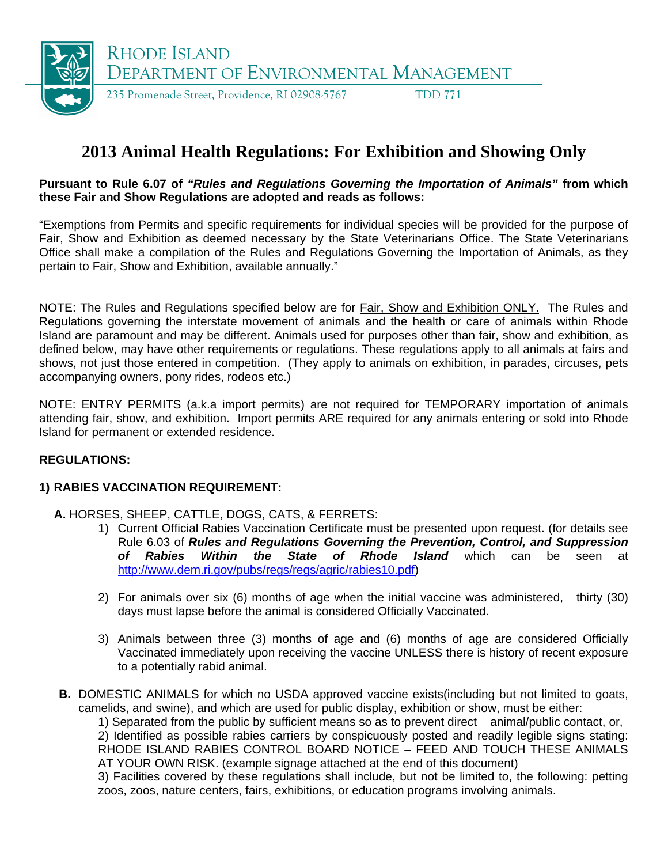

# **2013 Animal Health Regulations: For Exhibition and Showing Only**

#### **Pursuant to Rule 6.07 of** *"Rules and Regulations Governing the Importation of Animals"* **from which these Fair and Show Regulations are adopted and reads as follows:**

"Exemptions from Permits and specific requirements for individual species will be provided for the purpose of Fair, Show and Exhibition as deemed necessary by the State Veterinarians Office. The State Veterinarians Office shall make a compilation of the Rules and Regulations Governing the Importation of Animals, as they pertain to Fair, Show and Exhibition, available annually."

NOTE: The Rules and Regulations specified below are for Fair, Show and Exhibition ONLY. The Rules and Regulations governing the interstate movement of animals and the health or care of animals within Rhode Island are paramount and may be different. Animals used for purposes other than fair, show and exhibition, as defined below, may have other requirements or regulations. These regulations apply to all animals at fairs and shows, not just those entered in competition. (They apply to animals on exhibition, in parades, circuses, pets accompanying owners, pony rides, rodeos etc.)

NOTE: ENTRY PERMITS (a.k.a import permits) are not required for TEMPORARY importation of animals attending fair, show, and exhibition. Import permits ARE required for any animals entering or sold into Rhode Island for permanent or extended residence.

## **REGULATIONS:**

## **1) RABIES VACCINATION REQUIREMENT:**

- **A.** HORSES, SHEEP, CATTLE, DOGS, CATS, & FERRETS:
	- 1) Current Official Rabies Vaccination Certificate must be presented upon request. (for details see Rule 6.03 of *Rules and Regulations Governing the Prevention, Control, and Suppression of Rabies Within the State of Rhode Island* which can be seen at <http://www.dem.ri.gov/pubs/regs/regs/agric/rabies10.pdf>)
	- 2) For animals over six (6) months of age when the initial vaccine was administered, thirty (30) days must lapse before the animal is considered Officially Vaccinated.
	- 3) Animals between three (3) months of age and (6) months of age are considered Officially Vaccinated immediately upon receiving the vaccine UNLESS there is history of recent exposure to a potentially rabid animal.
- **B.** DOMESTIC ANIMALS for which no USDA approved vaccine exists (including but not limited to goats, camelids, and swine), and which are used for public display, exhibition or show, must be either:

1) Separated from the public by sufficient means so as to prevent direct animal/public contact, or,

2) Identified as possible rabies carriers by conspicuously posted and readily legible signs stating: RHODE ISLAND RABIES CONTROL BOARD NOTICE – FEED AND TOUCH THESE ANIMALS AT YOUR OWN RISK. (example signage attached at the end of this document)

3) Facilities covered by these regulations shall include, but not be limited to, the following: petting zoos, zoos, nature centers, fairs, exhibitions, or education programs involving animals.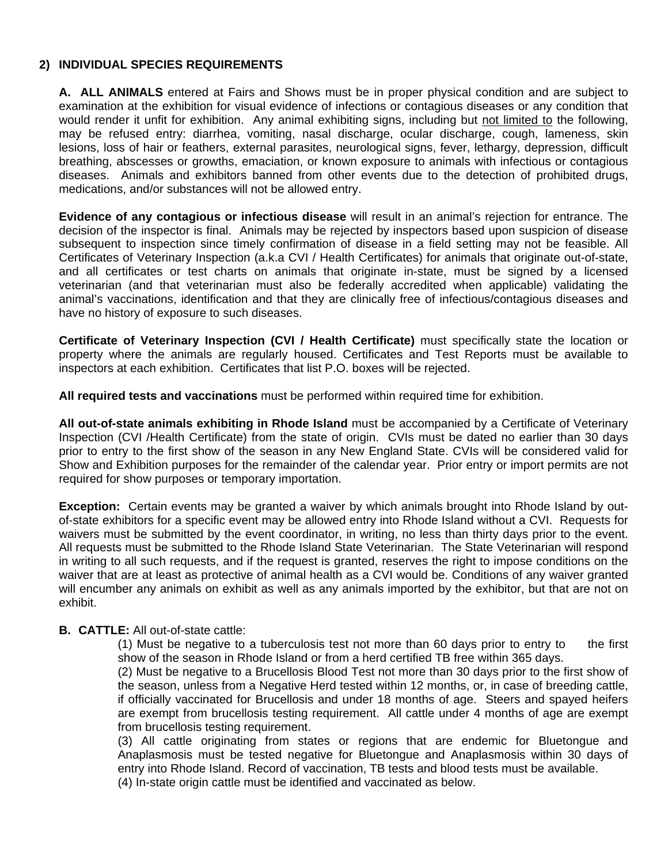#### **2) INDIVIDUAL SPECIES REQUIREMENTS**

**A. ALL ANIMALS** entered at Fairs and Shows must be in proper physical condition and are subject to examination at the exhibition for visual evidence of infections or contagious diseases or any condition that would render it unfit for exhibition. Any animal exhibiting signs, including but not limited to the following, may be refused entry: diarrhea, vomiting, nasal discharge, ocular discharge, cough, lameness, skin lesions, loss of hair or feathers, external parasites, neurological signs, fever, lethargy, depression, difficult breathing, abscesses or growths, emaciation, or known exposure to animals with infectious or contagious diseases. Animals and exhibitors banned from other events due to the detection of prohibited drugs, medications, and/or substances will not be allowed entry.

**Evidence of any contagious or infectious disease** will result in an animal's rejection for entrance. The decision of the inspector is final. Animals may be rejected by inspectors based upon suspicion of disease subsequent to inspection since timely confirmation of disease in a field setting may not be feasible. All Certificates of Veterinary Inspection (a.k.a CVI / Health Certificates) for animals that originate out-of-state, and all certificates or test charts on animals that originate in-state, must be signed by a licensed veterinarian (and that veterinarian must also be federally accredited when applicable) validating the animal's vaccinations, identification and that they are clinically free of infectious/contagious diseases and have no history of exposure to such diseases.

**Certificate of Veterinary Inspection (CVI / Health Certificate)** must specifically state the location or property where the animals are regularly housed. Certificates and Test Reports must be available to inspectors at each exhibition. Certificates that list P.O. boxes will be rejected.

**All required tests and vaccinations** must be performed within required time for exhibition.

**All out-of-state animals exhibiting in Rhode Island** must be accompanied by a Certificate of Veterinary Inspection (CVI /Health Certificate) from the state of origin. CVIs must be dated no earlier than 30 days prior to entry to the first show of the season in any New England State. CVIs will be considered valid for Show and Exhibition purposes for the remainder of the calendar year. Prior entry or import permits are not required for show purposes or temporary importation.

**Exception:** Certain events may be granted a waiver by which animals brought into Rhode Island by outof-state exhibitors for a specific event may be allowed entry into Rhode Island without a CVI. Requests for waivers must be submitted by the event coordinator, in writing, no less than thirty days prior to the event. All requests must be submitted to the Rhode Island State Veterinarian. The State Veterinarian will respond in writing to all such requests, and if the request is granted, reserves the right to impose conditions on the waiver that are at least as protective of animal health as a CVI would be. Conditions of any waiver granted will encumber any animals on exhibit as well as any animals imported by the exhibitor, but that are not on exhibit.

## **B. CATTLE:** All out-of-state cattle:

(1) Must be negative to a tuberculosis test not more than 60 days prior to entry to the first show of the season in Rhode Island or from a herd certified TB free within 365 days.

(2) Must be negative to a Brucellosis Blood Test not more than 30 days prior to the first show of the season, unless from a Negative Herd tested within 12 months, or, in case of breeding cattle, if officially vaccinated for Brucellosis and under 18 months of age. Steers and spayed heifers are exempt from brucellosis testing requirement. All cattle under 4 months of age are exempt from brucellosis testing requirement.

(3) All cattle originating from states or regions that are endemic for Bluetongue and Anaplasmosis must be tested negative for Bluetongue and Anaplasmosis within 30 days of entry into Rhode Island. Record of vaccination, TB tests and blood tests must be available.

(4) In-state origin cattle must be identified and vaccinated as below.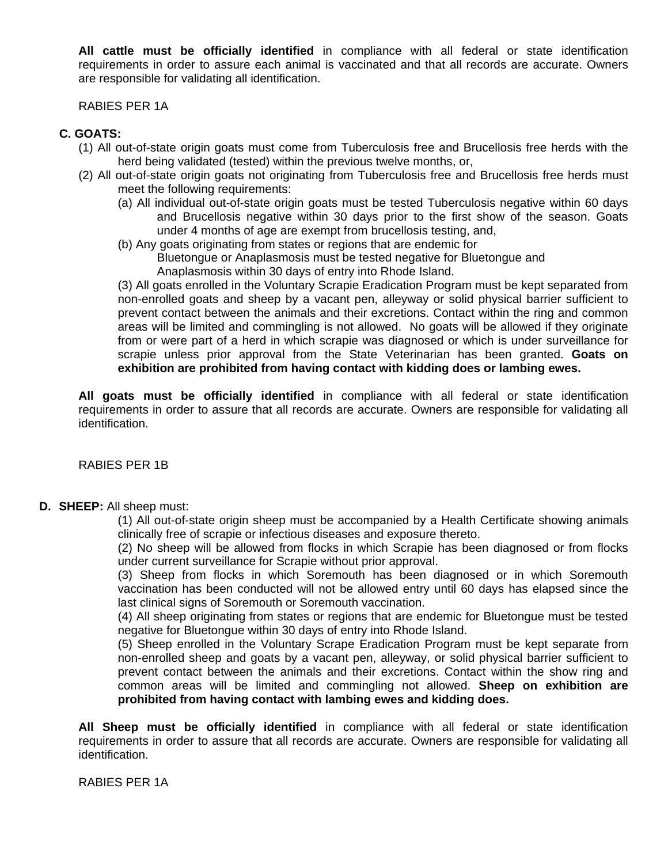**All cattle must be officially identified** in compliance with all federal or state identification requirements in order to assure each animal is vaccinated and that all records are accurate. Owners are responsible for validating all identification.

RABIES PER 1A

#### **C. GOATS:**

- (1) All out-of-state origin goats must come from Tuberculosis free and Brucellosis free herds with the herd being validated (tested) within the previous twelve months, or,
- (2) All out-of-state origin goats not originating from Tuberculosis free and Brucellosis free herds must meet the following requirements:
	- (a) All individual out-of-state origin goats must be tested Tuberculosis negative within 60 days and Brucellosis negative within 30 days prior to the first show of the season. Goats under 4 months of age are exempt from brucellosis testing, and,
	- (b) Any goats originating from states or regions that are endemic for Bluetongue or Anaplasmosis must be tested negative for Bluetongue and
		- Anaplasmosis within 30 days of entry into Rhode Island.

(3) All goats enrolled in the Voluntary Scrapie Eradication Program must be kept separated from non-enrolled goats and sheep by a vacant pen, alleyway or solid physical barrier sufficient to prevent contact between the animals and their excretions. Contact within the ring and common areas will be limited and commingling is not allowed. No goats will be allowed if they originate from or were part of a herd in which scrapie was diagnosed or which is under surveillance for scrapie unless prior approval from the State Veterinarian has been granted. **Goats on exhibition are prohibited from having contact with kidding does or lambing ewes.**

**All goats must be officially identified** in compliance with all federal or state identification requirements in order to assure that all records are accurate. Owners are responsible for validating all identification.

RABIES PER 1B

# **D. SHEEP:** All sheep must:

 (1) All out-of-state origin sheep must be accompanied by a Health Certificate showing animals clinically free of scrapie or infectious diseases and exposure thereto.

 (2) No sheep will be allowed from flocks in which Scrapie has been diagnosed or from flocks under current surveillance for Scrapie without prior approval.

 (3) Sheep from flocks in which Soremouth has been diagnosed or in which Soremouth vaccination has been conducted will not be allowed entry until 60 days has elapsed since the last clinical signs of Soremouth or Soremouth vaccination.

(4) All sheep originating from states or regions that are endemic for Bluetongue must be tested negative for Bluetongue within 30 days of entry into Rhode Island.

(5) Sheep enrolled in the Voluntary Scrape Eradication Program must be kept separate from non-enrolled sheep and goats by a vacant pen, alleyway, or solid physical barrier sufficient to prevent contact between the animals and their excretions. Contact within the show ring and common areas will be limited and commingling not allowed. **Sheep on exhibition are prohibited from having contact with lambing ewes and kidding does.**

**All Sheep must be officially identified** in compliance with all federal or state identification requirements in order to assure that all records are accurate. Owners are responsible for validating all identification.

RABIES PER 1A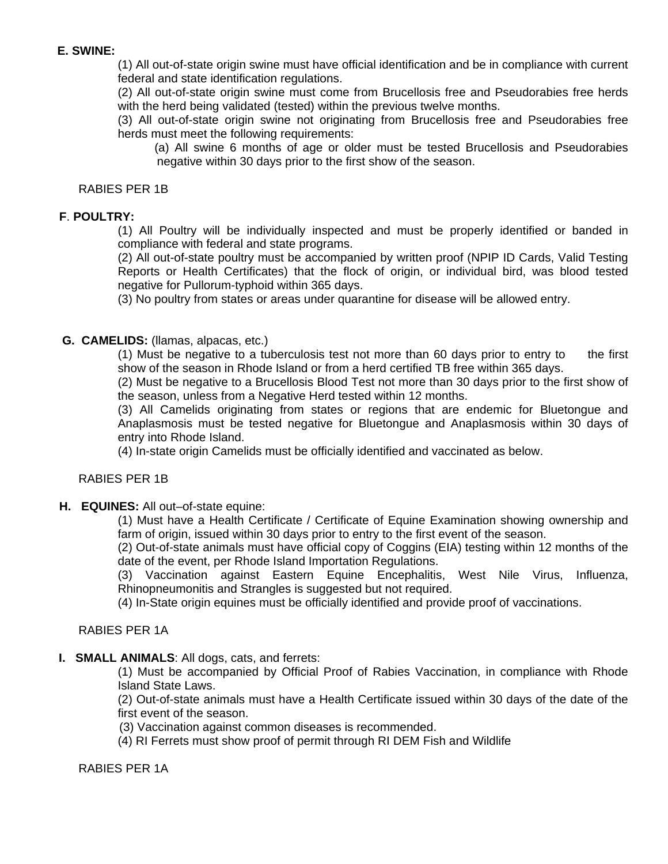## **E. SWINE:**

 (1) All out-of-state origin swine must have official identification and be in compliance with current federal and state identification regulations.

 (2) All out-of-state origin swine must come from Brucellosis free and Pseudorabies free herds with the herd being validated (tested) within the previous twelve months.

 (3) All out-of-state origin swine not originating from Brucellosis free and Pseudorabies free herds must meet the following requirements:

 (a) All swine 6 months of age or older must be tested Brucellosis and Pseudorabies negative within 30 days prior to the first show of the season.

#### RABIES PER 1B

## **F**. **POULTRY:**

 (1) All Poultry will be individually inspected and must be properly identified or banded in compliance with federal and state programs.

 (2) All out-of-state poultry must be accompanied by written proof (NPIP ID Cards, Valid Testing Reports or Health Certificates) that the flock of origin, or individual bird, was blood tested negative for Pullorum-typhoid within 365 days.

(3) No poultry from states or areas under quarantine for disease will be allowed entry.

#### **G. CAMELIDS:** (llamas, alpacas, etc.)

 $(1)$  Must be negative to a tuberculosis test not more than 60 days prior to entry to the first show of the season in Rhode Island or from a herd certified TB free within 365 days.

(2) Must be negative to a Brucellosis Blood Test not more than 30 days prior to the first show of the season, unless from a Negative Herd tested within 12 months.

(3) All Camelids originating from states or regions that are endemic for Bluetongue and Anaplasmosis must be tested negative for Bluetongue and Anaplasmosis within 30 days of entry into Rhode Island.

(4) In-state origin Camelids must be officially identified and vaccinated as below.

#### RABIES PER 1B

#### **H. EQUINES:** All out–of-state equine:

 (1) Must have a Health Certificate / Certificate of Equine Examination showing ownership and farm of origin, issued within 30 days prior to entry to the first event of the season.

 (2) Out-of-state animals must have official copy of Coggins (EIA) testing within 12 months of the date of the event, per Rhode Island Importation Regulations.

 (3) Vaccination against Eastern Equine Encephalitis, West Nile Virus, Influenza, Rhinopneumonitis and Strangles is suggested but not required.

(4) In-State origin equines must be officially identified and provide proof of vaccinations.

# RABIES PER 1A

## **I. SMALL ANIMALS**: All dogs, cats, and ferrets:

(1) Must be accompanied by Official Proof of Rabies Vaccination, in compliance with Rhode Island State Laws.

(2) Out-of-state animals must have a Health Certificate issued within 30 days of the date of the first event of the season.

(3) Vaccination against common diseases is recommended.

(4) RI Ferrets must show proof of permit through RI DEM Fish and Wildlife

RABIES PER 1A